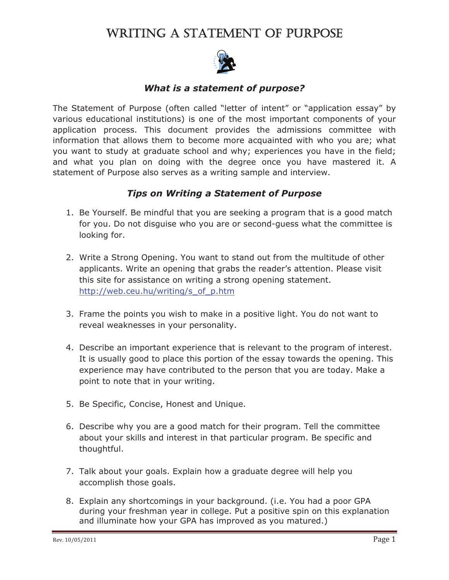# WRITING A STATEMENT OF PURPOSE



#### *What is a statement of purpose?*

The Statement of Purpose (often called "letter of intent" or "application essay" by various educational institutions) is one of the most important components of your application process. This document provides the admissions committee with information that allows them to become more acquainted with who you are; what you want to study at graduate school and why; experiences you have in the field; and what you plan on doing with the degree once you have mastered it. A statement of Purpose also serves as a writing sample and interview.

#### *Tips on Writing a Statement of Purpose*

- 1. Be Yourself. Be mindful that you are seeking a program that is a good match for you. Do not disguise who you are or second-guess what the committee is looking for.
- 2. Write a Strong Opening. You want to stand out from the multitude of other applicants. Write an opening that grabs the reader's attention. Please visit this site for assistance on writing a strong opening statement. http://web.ceu.hu/writing/s\_of\_p.htm
- 3. Frame the points you wish to make in a positive light. You do not want to reveal weaknesses in your personality.
- 4. Describe an important experience that is relevant to the program of interest. It is usually good to place this portion of the essay towards the opening. This experience may have contributed to the person that you are today. Make a point to note that in your writing.
- 5. Be Specific, Concise, Honest and Unique.
- 6. Describe why you are a good match for their program. Tell the committee about your skills and interest in that particular program. Be specific and thoughtful.
- 7. Talk about your goals. Explain how a graduate degree will help you accomplish those goals.
- 8. Explain any shortcomings in your background. (i.e. You had a poor GPA during your freshman year in college. Put a positive spin on this explanation and illuminate how your GPA has improved as you matured.)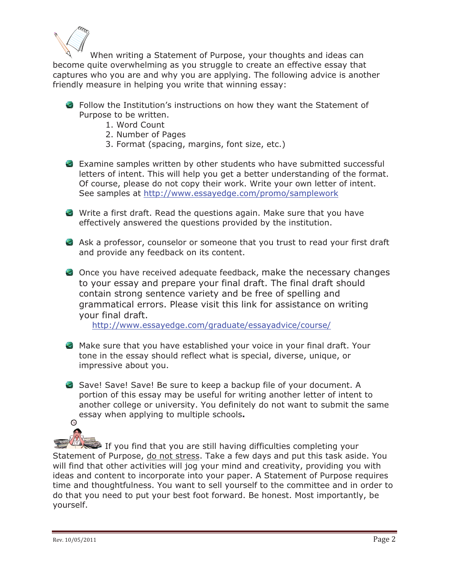

When writing a Statement of Purpose, your thoughts and ideas can become quite overwhelming as you struggle to create an effective essay that captures who you are and why you are applying. The following advice is another friendly measure in helping you write that winning essay:

- Follow the Institution's instructions on how they want the Statement of Purpose to be written.
	- 1. Word Count
	- 2. Number of Pages
	- 3. Format (spacing, margins, font size, etc.)
- Examine samples written by other students who have submitted successful letters of intent. This will help you get a better understanding of the format. Of course, please do not copy their work. Write your own letter of intent. See samples at http://www.essayedge.com/promo/samplework
- Write a first draft. Read the questions again. Make sure that you have effectively answered the questions provided by the institution.
- Ask a professor, counselor or someone that you trust to read your first draft and provide any feedback on its content.
- Once you have received adequate feedback, make the necessary changes to your essay and prepare your final draft. The final draft should contain strong sentence variety and be free of spelling and grammatical errors. Please visit this link for assistance on writing your final draft.

http://www.essayedge.com/graduate/essayadvice/course/

- Make sure that you have established your voice in your final draft. Your tone in the essay should reflect what is special, diverse, unique, or impressive about you.
- Save! Save! Save! Be sure to keep a backup file of your document. A portion of this essay may be useful for writing another letter of intent to another college or university. You definitely do not want to submit the same essay when applying to multiple schools**.**  $\odot$

 If you find that you are still having difficulties completing your Statement of Purpose, do not stress. Take a few days and put this task aside. You will find that other activities will jog your mind and creativity, providing you with ideas and content to incorporate into your paper. A Statement of Purpose requires time and thoughtfulness. You want to sell yourself to the committee and in order to do that you need to put your best foot forward. Be honest. Most importantly, be yourself.